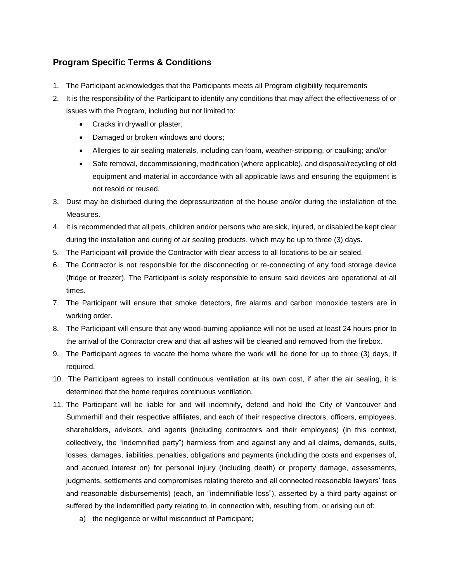## **Program Specific Terms & Conditions**

- 1. The Participant acknowledges that the Participants meets all Program eligibility requirements
- 2. It is the responsibility of the Participant to identify any conditions that may affect the effectiveness of or issues with the Program, including but not limited to:
	- Cracks in drywall or plaster;
	- Damaged or broken windows and doors;
	- Allergies to air sealing materials, including can foam, weather-stripping, or caulking; and/or
	- Safe removal, decommissioning, modification (where applicable), and disposal/recycling of old equipment and material in accordance with all applicable laws and ensuring the equipment is not resold or reused.
- 3. Dust may be disturbed during the depressurization of the house and/or during the installation of the Measures.
- 4. It is recommended that all pets, children and/or persons who are sick, injured, or disabled be kept clear during the installation and curing of air sealing products, which may be up to three (3) days.
- 5. The Participant will provide the Contractor with clear access to all locations to be air sealed.
- 6. The Contractor is not responsible for the disconnecting or re-connecting of any food storage device (fridge or freezer). The Participant is solely responsible to ensure said devices are operational at all times.
- 7. The Participant will ensure that smoke detectors, fire alarms and carbon monoxide testers are in working order.
- 8. The Participant will ensure that any wood-burning appliance will not be used at least 24 hours prior to the arrival of the Contractor crew and that all ashes will be cleaned and removed from the firebox.
- 9. The Participant agrees to vacate the home where the work will be done for up to three (3) days, if required.
- 10. The Participant agrees to install continuous ventilation at its own cost, if after the air sealing, it is determined that the home requires continuous ventilation.
- 11. The Participant will be liable for and will indemnify, defend and hold the City of Vancouver and Summerhill and their respective affiliates, and each of their respective directors, officers, employees, shareholders, advisors, and agents (including contractors and their employees) (in this context, collectively, the "indemnified party") harmless from and against any and all claims, demands, suits, losses, damages, liabilities, penalties, obligations and payments (including the costs and expenses of, and accrued interest on) for personal injury (including death) or property damage, assessments, judgments, settlements and compromises relating thereto and all connected reasonable lawyers' fees and reasonable disbursements) (each, an "indemnifiable loss"), asserted by a third party against or suffered by the indemnified party relating to, in connection with, resulting from, or arising out of:
	- a) the negligence or wilful misconduct of Participant;